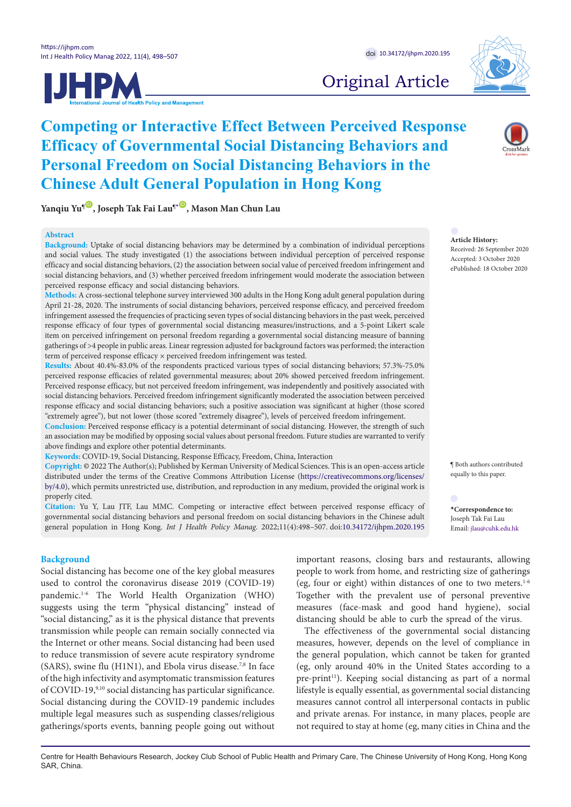

# **Competing or Interactive Effect Between Perceived Response Efficacy of Governmental Social Distancing Behaviors and Personal Freedom on Social Distancing Behaviors in the Chinese Adult General Population in Hong Kong**

**Yanqiu Yu<sup><sup>®</sup>, Joseph Tak Fai Lau<sup>®</sup><sup>®</sup>, Mason Man Chun Lau**</sup>

# **Abstract**

**Background:** Uptake of social distancing behaviors may be determined by a combination of individual perceptions and social values. The study investigated (1) the associations between individual perception of perceived response efficacy and social distancing behaviors, (2) the association between social value of perceived freedom infringement and social distancing behaviors, and (3) whether perceived freedom infringement would moderate the association between perceived response efficacy and social distancing behaviors.

**Methods:** A cross-sectional telephone survey interviewed 300 adults in the Hong Kong adult general population during April 21-28, 2020. The instruments of social distancing behaviors, perceived response efficacy, and perceived freedom infringement assessed the frequencies of practicing seven types of social distancing behaviors in the past week, perceived response efficacy of four types of governmental social distancing measures/instructions, and a 5-point Likert scale item on perceived infringement on personal freedom regarding a governmental social distancing measure of banning gatherings of >4 people in public areas. Linear regression adjusted for background factors was performed; the interaction term of perceived response efficacy  $\times$  perceived freedom infringement was tested.

**Results:** About 40.4%-83.0% of the respondents practiced various types of social distancing behaviors; 57.3%-75.0% perceived response efficacies of related governmental measures; about 20% showed perceived freedom infringement. Perceived response efficacy, but not perceived freedom infringement, was independently and positively associated with social distancing behaviors. Perceived freedom infringement significantly moderated the association between perceived response efficacy and social distancing behaviors; such a positive association was significant at higher (those scored "extremely agree"), but not lower (those scored "extremely disagree"), levels of perceived freedom infringement.

**Conclusion:** Perceived response efficacy is a potential determinant of social distancing. However, the strength of such an association may be modified by opposing social values about personal freedom. Future studies are warranted to verify above findings and explore other potential determinants.

**Keywords:** COVID-19, Social Distancing, Response Efficacy, Freedom, China, Interaction

**Copyright:** © 2022 The Author(s); Published by Kerman University of Medical Sciences. This is an open-access article distributed under the terms of the Creative Commons Attribution License [\(https://creativecommons.org/licenses/](https://creativecommons.org/licenses/by/4.0) [by/4.0\)](https://creativecommons.org/licenses/by/4.0), which permits unrestricted use, distribution, and reproduction in any medium, provided the original work is properly cited.

**Citation:** Yu Y, Lau JTF, Lau MMC. Competing or interactive effect between perceived response efficacy of governmental social distancing behaviors and personal freedom on social distancing behaviors in the Chinese adult general population in Hong Kong. *Int J Health Policy Manag.* 2022;11(4):498–507. doi:[10.34172/ijhpm.2020.195](https://doi.org/10.34172/ijhpm.2020.195)

# **Background**

Social distancing has become one of the key global measures used to control the coronavirus disease 2019 (COVID-19) pandemic.1-6 The World Health Organization (WHO) suggests using the term "physical distancing" instead of "social distancing," as it is the physical distance that prevents transmission while people can remain socially connected via the Internet or other means. Social distancing had been used to reduce transmission of severe acute respiratory syndrome (SARS), swine flu (H1N1), and Ebola virus disease.<sup>7,8</sup> In face of the high infectivity and asymptomatic transmission features of COVID-19,9,10 social distancing has particular significance. Social distancing during the COVID-19 pandemic includes multiple legal measures such as suspending classes/religious gatherings/sports events, banning people going out without



# Original Article



**Article History:** Received: 26 September 2020 Accepted: 3 October 2020 ePublished: 18 October 2020

¶ Both authors contributed equally to this paper.

<span id="page-0-0"></span>**\*Correspondence to:** Joseph Tak Fai Lau Email: jlau@cuhk.edu.hk

important reasons, closing bars and restaurants, allowing people to work from home, and restricting size of gatherings (eg, four or eight) within distances of one to two meters. $1-6$ Together with the prevalent use of personal preventive measures (face-mask and good hand hygiene), social distancing should be able to curb the spread of the virus.

The effectiveness of the governmental social distancing measures, however, depends on the level of compliance in the general population, which cannot be taken for granted (eg, only around 40% in the United States according to a pre-print<sup>11</sup>). Keeping social distancing as part of a normal lifestyle is equally essential, as governmental social distancing measures cannot control all interpersonal contacts in public and private arenas. For instance, in many places, people are not required to stay at home (eg, many cities in China and the

Centre for Health Behaviours Research, Jockey Club School of Public Health and Primary Care, The Chinese University of Hong Kong, Hong Kong SAR, China.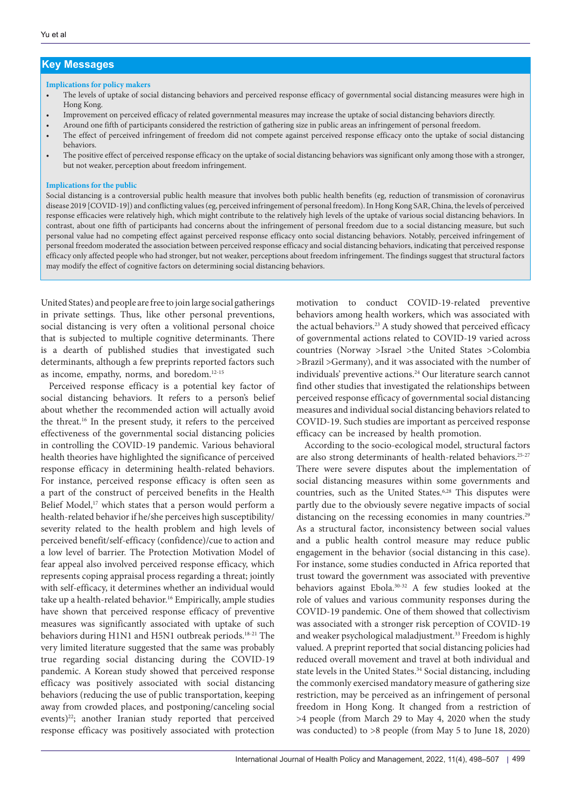# **Key Messages**

#### **Implications for policy makers**

- The levels of uptake of social distancing behaviors and perceived response efficacy of governmental social distancing measures were high in Hong Kong.
- Improvement on perceived efficacy of related governmental measures may increase the uptake of social distancing behaviors directly.
- Around one fifth of participants considered the restriction of gathering size in public areas an infringement of personal freedom.
- The effect of perceived infringement of freedom did not compete against perceived response efficacy onto the uptake of social distancing behaviors.
- The positive effect of perceived response efficacy on the uptake of social distancing behaviors was significant only among those with a stronger, but not weaker, perception about freedom infringement.

### **Implications for the public**

Social distancing is a controversial public health measure that involves both public health benefits (eg, reduction of transmission of coronavirus disease 2019 [COVID-19]) and conflicting values (eg, perceived infringement of personal freedom). In Hong Kong SAR, China, the levels of perceived response efficacies were relatively high, which might contribute to the relatively high levels of the uptake of various social distancing behaviors. In contrast, about one fifth of participants had concerns about the infringement of personal freedom due to a social distancing measure, but such personal value had no competing effect against perceived response efficacy onto social distancing behaviors. Notably, perceived infringement of personal freedom moderated the association between perceived response efficacy and social distancing behaviors, indicating that perceived response efficacy only affected people who had stronger, but not weaker, perceptions about freedom infringement. The findings suggest that structural factors may modify the effect of cognitive factors on determining social distancing behaviors.

United States) and people are free to join large social gatherings in private settings. Thus, like other personal preventions, social distancing is very often a volitional personal choice that is subjected to multiple cognitive determinants. There is a dearth of published studies that investigated such determinants, although a few preprints reported factors such as income, empathy, norms, and boredom.12-15

Perceived response efficacy is a potential key factor of social distancing behaviors. It refers to a person's belief about whether the recommended action will actually avoid the threat.16 In the present study, it refers to the perceived effectiveness of the governmental social distancing policies in controlling the COVID-19 pandemic. Various behavioral health theories have highlighted the significance of perceived response efficacy in determining health-related behaviors. For instance, perceived response efficacy is often seen as a part of the construct of perceived benefits in the Health Belief Model,<sup>17</sup> which states that a person would perform a health-related behavior if he/she perceives high susceptibility/ severity related to the health problem and high levels of perceived benefit/self-efficacy (confidence)/cue to action and a low level of barrier. The Protection Motivation Model of fear appeal also involved perceived response efficacy, which represents coping appraisal process regarding a threat; jointly with self-efficacy, it determines whether an individual would take up a health-related behavior.<sup>16</sup> Empirically, ample studies have shown that perceived response efficacy of preventive measures was significantly associated with uptake of such behaviors during H1N1 and H5N1 outbreak periods.<sup>18-21</sup> The very limited literature suggested that the same was probably true regarding social distancing during the COVID-19 pandemic. A Korean study showed that perceived response efficacy was positively associated with social distancing behaviors (reducing the use of public transportation, keeping away from crowded places, and postponing/canceling social events)<sup>22</sup>; another Iranian study reported that perceived response efficacy was positively associated with protection

motivation to conduct COVID-19-related preventive behaviors among health workers, which was associated with the actual behaviors.<sup>23</sup> A study showed that perceived efficacy of governmental actions related to COVID-19 varied across countries (Norway >Israel >the United States >Colombia >Brazil >Germany), and it was associated with the number of individuals' preventive actions.<sup>24</sup> Our literature search cannot find other studies that investigated the relationships between perceived response efficacy of governmental social distancing measures and individual social distancing behaviors related to COVID-19. Such studies are important as perceived response efficacy can be increased by health promotion.

According to the socio-ecological model, structural factors are also strong determinants of health-related behaviors.<sup>25-27</sup> There were severe disputes about the implementation of social distancing measures within some governments and countries, such as the United States.<sup>6,28</sup> This disputes were partly due to the obviously severe negative impacts of social distancing on the recessing economies in many countries.<sup>29</sup> As a structural factor, inconsistency between social values and a public health control measure may reduce public engagement in the behavior (social distancing in this case). For instance, some studies conducted in Africa reported that trust toward the government was associated with preventive behaviors against Ebola.30-32 A few studies looked at the role of values and various community responses during the COVID-19 pandemic. One of them showed that collectivism was associated with a stronger risk perception of COVID-19 and weaker psychological maladjustment.<sup>33</sup> Freedom is highly valued. A preprint reported that social distancing policies had reduced overall movement and travel at both individual and state levels in the United States.<sup>34</sup> Social distancing, including the commonly exercised mandatory measure of gathering size restriction, may be perceived as an infringement of personal freedom in Hong Kong. It changed from a restriction of >4 people (from March 29 to May 4, 2020 when the study was conducted) to >8 people (from May 5 to June 18, 2020)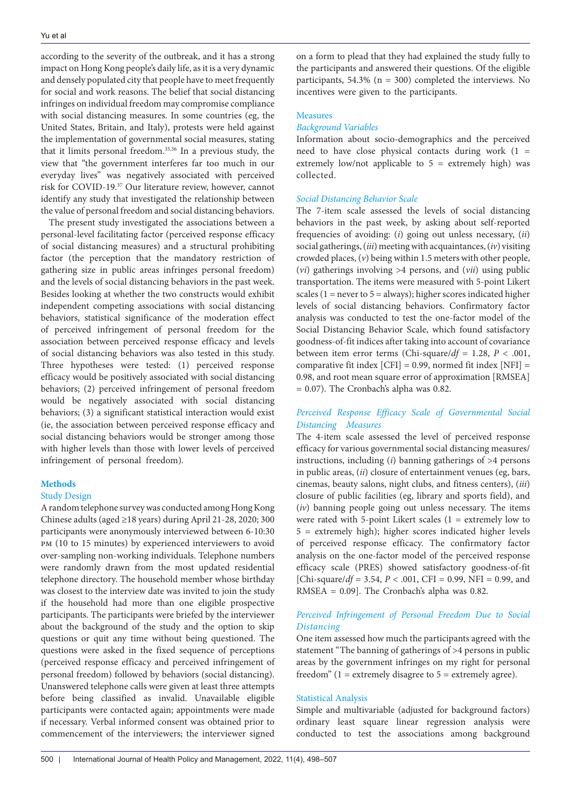according to the severity of the outbreak, and it has a strong impact on Hong Kong people's daily life, as it is a very dynamic and densely populated city that people have to meet frequently for social and work reasons. The belief that social distancing infringes on individual freedom may compromise compliance with social distancing measures. In some countries (eg, the United States, Britain, and Italy), protests were held against the implementation of governmental social measures, stating that it limits personal freedom.35,36 In a previous study, the view that "the government interferes far too much in our everyday lives" was negatively associated with perceived risk for COVID-19.37 Our literature review, however, cannot identify any study that investigated the relationship between the value of personal freedom and social distancing behaviors.

The present study investigated the associations between a personal-level facilitating factor (perceived response efficacy of social distancing measures) and a structural prohibiting factor (the perception that the mandatory restriction of gathering size in public areas infringes personal freedom) and the levels of social distancing behaviors in the past week. Besides looking at whether the two constructs would exhibit independent competing associations with social distancing behaviors, statistical significance of the moderation effect of perceived infringement of personal freedom for the association between perceived response efficacy and levels of social distancing behaviors was also tested in this study. Three hypotheses were tested: (1) perceived response efficacy would be positively associated with social distancing behaviors; (2) perceived infringement of personal freedom would be negatively associated with social distancing behaviors; (3) a significant statistical interaction would exist (ie, the association between perceived response efficacy and social distancing behaviors would be stronger among those with higher levels than those with lower levels of perceived infringement of personal freedom).

# **Methods**

# Study Design

A random telephone survey was conducted among Hong Kong Chinese adults (aged ≥18 years) during April 21-28, 2020; 300 participants were anonymously interviewed between 6-10:30 pm (10 to 15 minutes) by experienced interviewers to avoid over-sampling non-working individuals. Telephone numbers were randomly drawn from the most updated residential telephone directory. The household member whose birthday was closest to the interview date was invited to join the study if the household had more than one eligible prospective participants. The participants were briefed by the interviewer about the background of the study and the option to skip questions or quit any time without being questioned. The questions were asked in the fixed sequence of perceptions (perceived response efficacy and perceived infringement of personal freedom) followed by behaviors (social distancing). Unanswered telephone calls were given at least three attempts before being classified as invalid. Unavailable eligible participants were contacted again; appointments were made if necessary. Verbal informed consent was obtained prior to commencement of the interviewers; the interviewer signed

on a form to plead that they had explained the study fully to the participants and answered their questions. Of the eligible participants,  $54.3\%$  (n = 300) completed the interviews. No incentives were given to the participants.

# Measures

# *Background Variables*

Information about socio-demographics and the perceived need to have close physical contacts during work (1 = extremely low/not applicable to  $5 =$  extremely high) was collected.

# *Social Distancing Behavior Scale*

The 7-item scale assessed the levels of social distancing behaviors in the past week, by asking about self-reported frequencies of avoiding: (*i*) going out unless necessary, (*ii*) social gatherings, (*iii*) meeting with acquaintances, (*iv*) visiting crowded places, (*v*) being within 1.5 meters with other people, (*vi*) gatherings involving >4 persons, and (*vii*) using public transportation. The items were measured with 5-point Likert scales ( $1 =$  never to  $5 =$  always); higher scores indicated higher levels of social distancing behaviors. Confirmatory factor analysis was conducted to test the one-factor model of the Social Distancing Behavior Scale, which found satisfactory goodness-of-fit indices after taking into account of covariance between item error terms (Chi-square/ $df = 1.28$ ,  $P < .001$ , comparative fit index  $[CFI] = 0.99$ , normed fit index  $[NFI] =$ 0.98, and root mean square error of approximation [RMSEA] = 0.07). The Cronbach's alpha was 0.82.

# *Perceived Response Efficacy Scale of Governmental Social Distancing Measures*

The 4-item scale assessed the level of perceived response efficacy for various governmental social distancing measures/ instructions, including  $(i)$  banning gatherings of  $>4$  persons in public areas, (*ii*) closure of entertainment venues (eg, bars, cinemas, beauty salons, night clubs, and fitness centers), (*iii*) closure of public facilities (eg, library and sports field), and (*iv*) banning people going out unless necessary. The items were rated with 5-point Likert scales (1 = extremely low to 5 = extremely high); higher scores indicated higher levels of perceived response efficacy. The confirmatory factor analysis on the one-factor model of the perceived response efficacy scale (PRES) showed satisfactory goodness-of-fit [Chi-square/*df* = 3.54, *P* < .001, CFI = 0.99, NFI = 0.99, and RMSEA =  $0.09$ ]. The Cronbach's alpha was 0.82.

# *Perceived Infringement of Personal Freedom Due to Social Distancing*

One item assessed how much the participants agreed with the statement "The banning of gatherings of >4 persons in public areas by the government infringes on my right for personal freedom"  $(1 =$  extremely disagree to  $5 =$  extremely agree).

# Statistical Analysis

Simple and multivariable (adjusted for background factors) ordinary least square linear regression analysis were conducted to test the associations among background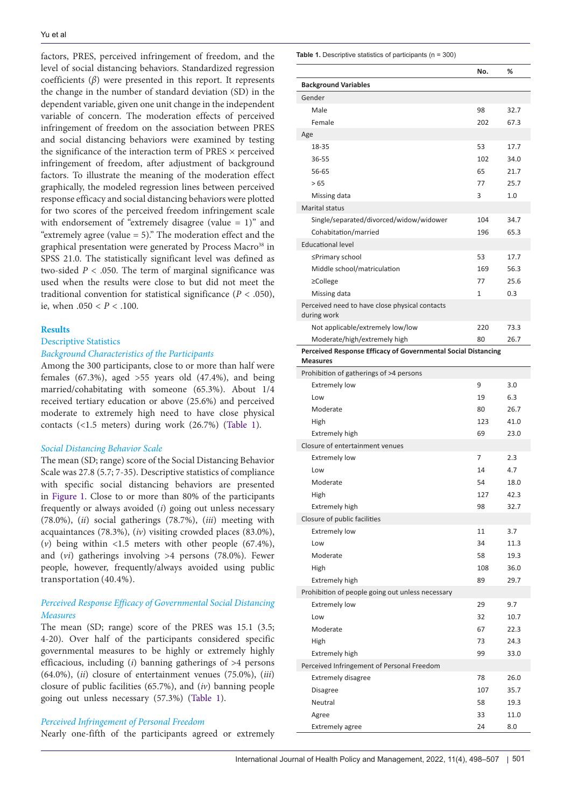factors, PRES, perceived infringement of freedom, and the level of social distancing behaviors. Standardized regression coefficients (*β*) were presented in this report. It represents the change in the number of standard deviation (SD) in the dependent variable, given one unit change in the independent variable of concern. The moderation effects of perceived infringement of freedom on the association between PRES and social distancing behaviors were examined by testing the significance of the interaction term of PRES  $\times$  perceived infringement of freedom, after adjustment of background factors. To illustrate the meaning of the moderation effect graphically, the modeled regression lines between perceived response efficacy and social distancing behaviors were plotted for two scores of the perceived freedom infringement scale with endorsement of "extremely disagree (value = 1)" and "extremely agree (value = 5)." The moderation effect and the graphical presentation were generated by Process Macro<sup>38</sup> in SPSS 21.0. The statistically significant level was defined as two-sided  $P < .050$ . The term of marginal significance was used when the results were close to but did not meet the traditional convention for statistical significance  $(P < .050)$ , ie, when .050 < *P* < .100.

## **Results**

# Descriptive Statistics *Background Characteristics of the Participants*

Among the 300 participants, close to or more than half were females (67.3%), aged >55 years old (47.4%), and being married/cohabitating with someone (65.3%). About 1/4 received tertiary education or above (25.6%) and perceived moderate to extremely high need to have close physical contacts (<1.5 meters) during work (26.7%) [\(Table 1](#page-3-0)).

#### *Social Distancing Behavior Scale*

The mean (SD; range) score of the Social Distancing Behavior Scale was 27.8 (5.7; 7-35). Descriptive statistics of compliance with specific social distancing behaviors are presented in [Figure 1](#page-4-0). Close to or more than 80% of the participants frequently or always avoided (*i*) going out unless necessary (78.0%), (*ii*) social gatherings (78.7%), (*iii*) meeting with acquaintances (78.3%), (*iv*) visiting crowded places (83.0%), (*v*) being within <1.5 meters with other people (67.4%), and (*vi*) gatherings involving >4 persons (78.0%). Fewer people, however, frequently/always avoided using public transportation (40.4%).

# *Perceived Response Efficacy of Governmental Social Distancing Measures*

The mean (SD; range) score of the PRES was 15.1 (3.5; 4-20). Over half of the participants considered specific governmental measures to be highly or extremely highly efficacious, including (*i*) banning gatherings of >4 persons (64.0%), (*ii*) closure of entertainment venues (75.0%), (*iii*) closure of public facilities (65.7%), and (*iv*) banning people going out unless necessary (57.3%) [\(Table 1](#page-3-0)).

# *Perceived Infringement of Personal Freedom*

Nearly one-fifth of the participants agreed or extremely

<span id="page-3-0"></span>**Table 1.** Descriptive statistics of participants (n = 300)

|                                                                                  | No. | %    |
|----------------------------------------------------------------------------------|-----|------|
| <b>Background Variables</b>                                                      |     |      |
| Gender                                                                           |     |      |
| Male                                                                             | 98  | 32.7 |
| Female                                                                           | 202 | 67.3 |
| Age                                                                              |     |      |
| 18-35                                                                            | 53  | 17.7 |
| 36-55                                                                            | 102 | 34.0 |
| 56-65                                                                            | 65  | 21.7 |
| > 65                                                                             | 77  | 25.7 |
| Missing data                                                                     | 3   | 1.0  |
| Marital status                                                                   |     |      |
| Single/separated/divorced/widow/widower                                          | 104 | 34.7 |
| Cohabitation/married                                                             | 196 | 65.3 |
| <b>Educational level</b>                                                         |     |      |
| ≤Primary school                                                                  | 53  | 17.7 |
| Middle school/matriculation                                                      | 169 | 56.3 |
| $\geq$ College                                                                   | 77  | 25.6 |
| Missing data                                                                     | 1   | 0.3  |
| Perceived need to have close physical contacts                                   |     |      |
| during work                                                                      |     |      |
| Not applicable/extremely low/low                                                 | 220 | 73.3 |
| Moderate/high/extremely high                                                     | 80  | 26.7 |
| Perceived Response Efficacy of Governmental Social Distancing<br><b>Measures</b> |     |      |
| Prohibition of gatherings of >4 persons                                          |     |      |
| <b>Extremely low</b>                                                             | 9   | 3.0  |
| Low                                                                              | 19  | 6.3  |
| Moderate                                                                         | 80  | 26.7 |
| High                                                                             | 123 | 41.0 |
| <b>Extremely high</b>                                                            | 69  | 23.0 |
| Closure of entertainment venues                                                  |     |      |
| <b>Extremely low</b>                                                             | 7   | 2.3  |
| Low                                                                              | 14  | 4.7  |
| Moderate                                                                         | 54  | 18.0 |
| High                                                                             | 127 | 42.3 |
| <b>Extremely high</b>                                                            | 98  | 32.7 |
| Closure of public facilities                                                     |     |      |
|                                                                                  | 11  |      |
| <b>Extremely low</b>                                                             |     | 3.7  |
| Low                                                                              | 34  | 11.3 |
| Moderate                                                                         | 58  | 19.3 |
| High                                                                             | 108 | 36.0 |
| <b>Extremely high</b>                                                            | 89  | 29.7 |
| Prohibition of people going out unless necessary                                 |     |      |
| <b>Extremely low</b>                                                             | 29  | 9.7  |
| Low                                                                              | 32  | 10.7 |
| Moderate                                                                         | 67  | 22.3 |
| High                                                                             | 73  | 24.3 |
| <b>Extremely high</b>                                                            | 99  | 33.0 |
| Perceived Infringement of Personal Freedom                                       |     |      |
| <b>Extremely disagree</b>                                                        | 78  | 26.0 |
| Disagree                                                                         | 107 | 35.7 |
| Neutral                                                                          | 58  | 19.3 |
| Agree                                                                            | 33  | 11.0 |
| <b>Extremely agree</b>                                                           | 24  | 8.0  |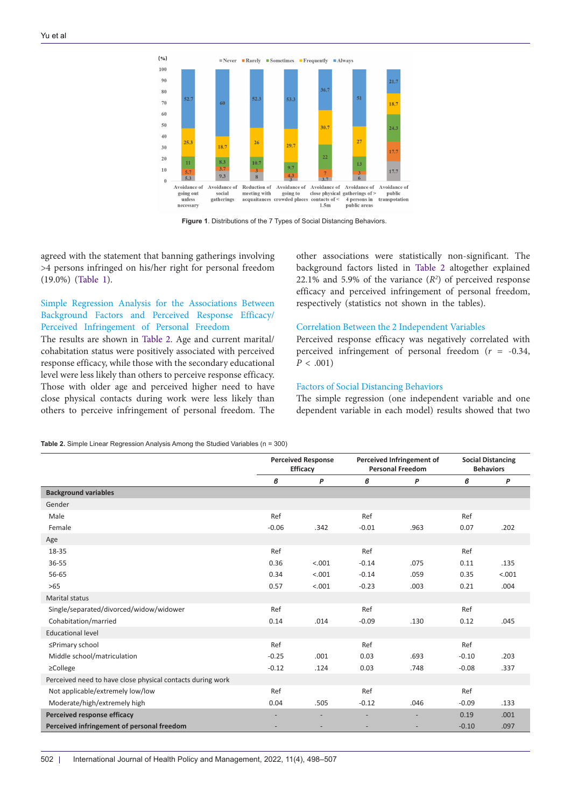<span id="page-4-0"></span>

**Figure 1**. Distributions of the 7 Types of Social Distancing Behaviors.

agreed with the statement that banning gatherings involving >4 persons infringed on his/her right for personal freedom (19.0%) [\(Table 1\)](#page-3-0).

# Simple Regression Analysis for the Associations Between Background Factors and Perceived Response Efficacy/ Perceived Infringement of Personal Freedom

The results are shown in [Table 2.](#page-4-1) Age and current marital/ cohabitation status were positively associated with perceived response efficacy, while those with the secondary educational level were less likely than others to perceive response efficacy. Those with older age and perceived higher need to have close physical contacts during work were less likely than others to perceive infringement of personal freedom. The

other associations were statistically non-significant. The background factors listed in [Table 2](#page-4-1) altogether explained 22.1% and 5.9% of the variance  $(R^2)$  of perceived response efficacy and perceived infringement of personal freedom, respectively (statistics not shown in the tables).

## Correlation Between the 2 Independent Variables

Perceived response efficacy was negatively correlated with perceived infringement of personal freedom (*r* = -0.34,  $P < .001$ 

## Factors of Social Distancing Behaviors

The simple regression (one independent variable and one dependent variable in each model) results showed that two

<span id="page-4-1"></span>**Table 2.** Simple Linear Regression Analysis Among the Studied Variables (n = 300)

|                                                            | <b>Perceived Response</b><br><b>Efficacy</b> |        | Perceived Infringement of<br><b>Personal Freedom</b> |      | <b>Social Distancing</b><br><b>Behaviors</b> |        |
|------------------------------------------------------------|----------------------------------------------|--------|------------------------------------------------------|------|----------------------------------------------|--------|
|                                                            |                                              |        |                                                      |      |                                              |        |
|                                                            | в                                            | P      | в                                                    | P    | в                                            | P      |
| <b>Background variables</b>                                |                                              |        |                                                      |      |                                              |        |
| Gender                                                     |                                              |        |                                                      |      |                                              |        |
| Male                                                       | Ref                                          |        | Ref                                                  |      | Ref                                          |        |
| Female                                                     | $-0.06$                                      | .342   | $-0.01$                                              | .963 | 0.07                                         | .202   |
| Age                                                        |                                              |        |                                                      |      |                                              |        |
| 18-35                                                      | Ref                                          |        | Ref                                                  |      | Ref                                          |        |
| 36-55                                                      | 0.36                                         | < .001 | $-0.14$                                              | .075 | 0.11                                         | .135   |
| 56-65                                                      | 0.34                                         | < .001 | $-0.14$                                              | .059 | 0.35                                         | < .001 |
| $>65$                                                      | 0.57                                         | < .001 | $-0.23$                                              | .003 | 0.21                                         | .004   |
| Marital status                                             |                                              |        |                                                      |      |                                              |        |
| Single/separated/divorced/widow/widower                    | Ref                                          |        | Ref                                                  |      | Ref                                          |        |
| Cohabitation/married                                       | 0.14                                         | .014   | $-0.09$                                              | .130 | 0.12                                         | .045   |
| <b>Educational level</b>                                   |                                              |        |                                                      |      |                                              |        |
| ≤Primary school                                            | Ref                                          |        | Ref                                                  |      | Ref                                          |        |
| Middle school/matriculation                                | $-0.25$                                      | .001   | 0.03                                                 | .693 | $-0.10$                                      | .203   |
| $\geq$ College                                             | $-0.12$                                      | .124   | 0.03                                                 | .748 | $-0.08$                                      | .337   |
| Perceived need to have close physical contacts during work |                                              |        |                                                      |      |                                              |        |
| Not applicable/extremely low/low                           | Ref                                          |        | Ref                                                  |      | Ref                                          |        |
| Moderate/high/extremely high                               | 0.04                                         | .505   | $-0.12$                                              | .046 | $-0.09$                                      | .133   |
| Perceived response efficacy                                |                                              |        |                                                      |      | 0.19                                         | .001   |
| Perceived infringement of personal freedom                 |                                              |        |                                                      |      | $-0.10$                                      | .097   |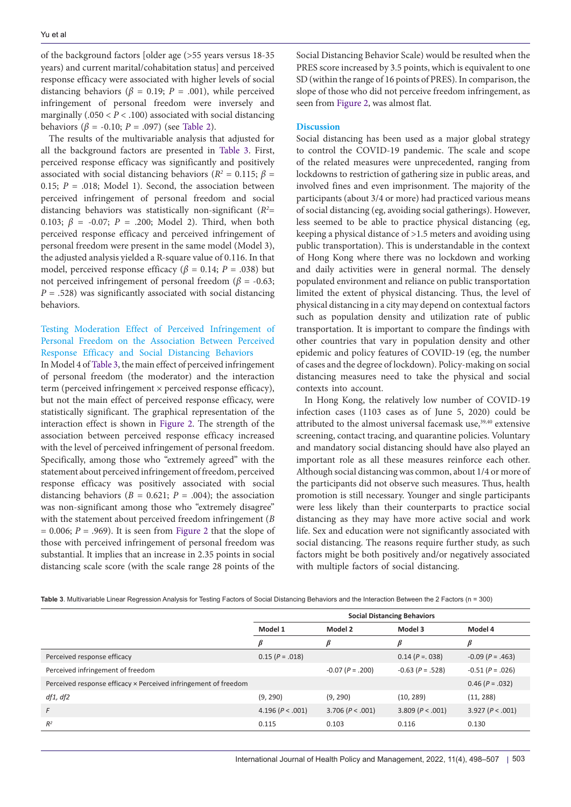of the background factors [older age (>55 years versus 18-35 years) and current marital/cohabitation status] and perceived response efficacy were associated with higher levels of social distancing behaviors ( $\beta$  = 0.19; *P* = .001), while perceived infringement of personal freedom were inversely and marginally  $(.050 < P < .100)$  associated with social distancing behaviors ( $β = -0.10$ ;  $P = .097$ ) (see [Table 2\)](#page-4-1).

The results of the multivariable analysis that adjusted for all the background factors are presented in [Table 3](#page-5-0). First, perceived response efficacy was significantly and positively associated with social distancing behaviors ( $R^2 = 0.115$ ;  $\beta =$ 0.15;  $P = .018$ ; Model 1). Second, the association between perceived infringement of personal freedom and social distancing behaviors was statistically non-significant (*R2* = 0.103; *β* = -0.07; *P* = .200; Model 2). Third, when both perceived response efficacy and perceived infringement of personal freedom were present in the same model (Model 3), the adjusted analysis yielded a R-square value of 0.116. In that model, perceived response efficacy ( $\beta$  = 0.14; *P* = .038) but not perceived infringement of personal freedom ( $\beta$  = -0.63;  $P = .528$ ) was significantly associated with social distancing behaviors.

# Testing Moderation Effect of Perceived Infringement of Personal Freedom on the Association Between Perceived Response Efficacy and Social Distancing Behaviors

In Model 4 of [Table 3,](#page-5-0) the main effect of perceived infringement of personal freedom (the moderator) and the interaction term (perceived infringement × perceived response efficacy), but not the main effect of perceived response efficacy, were statistically significant. The graphical representation of the interaction effect is shown in [Figure 2.](#page-6-0) The strength of the association between perceived response efficacy increased with the level of perceived infringement of personal freedom. Specifically, among those who "extremely agreed" with the statement about perceived infringement of freedom, perceived response efficacy was positively associated with social distancing behaviors ( $B = 0.621$ ;  $P = .004$ ); the association was non-significant among those who "extremely disagree" with the statement about perceived freedom infringement (*B*   $= 0.006$ ;  $P = .969$ ). It is seen from [Figure 2](#page-6-0) that the slope of those with perceived infringement of personal freedom was substantial. It implies that an increase in 2.35 points in social distancing scale score (with the scale range 28 points of the

Social Distancing Behavior Scale) would be resulted when the PRES score increased by 3.5 points, which is equivalent to one SD (within the range of 16 points of PRES). In comparison, the slope of those who did not perceive freedom infringement, as seen from [Figure 2,](#page-6-0) was almost flat.

## **Discussion**

Social distancing has been used as a major global strategy to control the COVID-19 pandemic. The scale and scope of the related measures were unprecedented, ranging from lockdowns to restriction of gathering size in public areas, and involved fines and even imprisonment. The majority of the participants (about 3/4 or more) had practiced various means of social distancing (eg, avoiding social gatherings). However, less seemed to be able to practice physical distancing (eg, keeping a physical distance of >1.5 meters and avoiding using public transportation). This is understandable in the context of Hong Kong where there was no lockdown and working and daily activities were in general normal. The densely populated environment and reliance on public transportation limited the extent of physical distancing. Thus, the level of physical distancing in a city may depend on contextual factors such as population density and utilization rate of public transportation. It is important to compare the findings with other countries that vary in population density and other epidemic and policy features of COVID-19 (eg, the number of cases and the degree of lockdown). Policy-making on social distancing measures need to take the physical and social contexts into account.

In Hong Kong, the relatively low number of COVID-19 infection cases (1103 cases as of June 5, 2020) could be attributed to the almost universal facemask use,<sup>39,40</sup> extensive screening, contact tracing, and quarantine policies. Voluntary and mandatory social distancing should have also played an important role as all these measures reinforce each other. Although social distancing was common, about 1/4 or more of the participants did not observe such measures. Thus, health promotion is still necessary. Younger and single participants were less likely than their counterparts to practice social distancing as they may have more active social and work life. Sex and education were not significantly associated with social distancing. The reasons require further study, as such factors might be both positively and/or negatively associated with multiple factors of social distancing.

<span id="page-5-0"></span>

| <b>Table 3</b> . Multivariable Linear Regression Analysis for Testing Factors of Social Distancing Behaviors and the Interaction Between the 2 Factors (n = 300) |  |  |  |  |  |
|------------------------------------------------------------------------------------------------------------------------------------------------------------------|--|--|--|--|--|
|                                                                                                                                                                  |  |  |  |  |  |

|                                                                 | <b>Social Distancing Behaviors</b> |                    |                        |                    |  |  |  |
|-----------------------------------------------------------------|------------------------------------|--------------------|------------------------|--------------------|--|--|--|
|                                                                 | Model 1                            | Model 2            | Model 3                | Model 4            |  |  |  |
|                                                                 | ß                                  | β                  | ß                      | β                  |  |  |  |
| Perceived response efficacy                                     | $0.15 (P=.018)$                    |                    | $0.14 (P = 0.038)$     | $-0.09$ (P = .463) |  |  |  |
| Perceived infringement of freedom                               |                                    | $-0.07 (P = .200)$ | $-0.63$ ( $P = .528$ ) | $-0.51 (P = .026)$ |  |  |  |
| Perceived response efficacy × Perceived infringement of freedom |                                    |                    |                        | $0.46 (P=.032)$    |  |  |  |
| df1, df2                                                        | (9, 290)                           | (9, 290)           | (10, 289)              | (11, 288)          |  |  |  |
| F                                                               | 4.196 ( $P < .001$ )               | 3.706 (P < .001)   | 3.809 (P < .001)       | 3.927 (P < .001)   |  |  |  |
| $R^2$                                                           | 0.115                              | 0.103              | 0.116                  | 0.130              |  |  |  |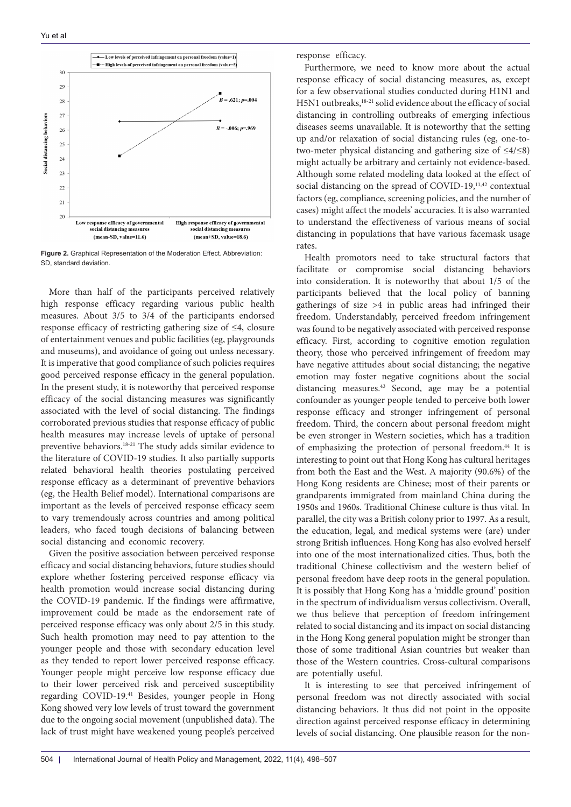<span id="page-6-0"></span>

**Figure 2.** Graphical Representation of the Moderation Effect. Abbreviation: SD, standard deviation.

More than half of the participants perceived relatively high response efficacy regarding various public health measures. About 3/5 to 3/4 of the participants endorsed response efficacy of restricting gathering size of ≤4, closure of entertainment venues and public facilities (eg, playgrounds and museums), and avoidance of going out unless necessary. It is imperative that good compliance of such policies requires good perceived response efficacy in the general population. In the present study, it is noteworthy that perceived response efficacy of the social distancing measures was significantly associated with the level of social distancing. The findings corroborated previous studies that response efficacy of public health measures may increase levels of uptake of personal preventive behaviors.18-21 The study adds similar evidence to the literature of COVID-19 studies. It also partially supports related behavioral health theories postulating perceived response efficacy as a determinant of preventive behaviors (eg, the Health Belief model). International comparisons are important as the levels of perceived response efficacy seem to vary tremendously across countries and among political leaders, who faced tough decisions of balancing between social distancing and economic recovery.

Given the positive association between perceived response efficacy and social distancing behaviors, future studies should explore whether fostering perceived response efficacy via health promotion would increase social distancing during the COVID-19 pandemic. If the findings were affirmative, improvement could be made as the endorsement rate of perceived response efficacy was only about 2/5 in this study. Such health promotion may need to pay attention to the younger people and those with secondary education level as they tended to report lower perceived response efficacy. Younger people might perceive low response efficacy due to their lower perceived risk and perceived susceptibility regarding COVID-19.41 Besides, younger people in Hong Kong showed very low levels of trust toward the government due to the ongoing social movement (unpublished data). The lack of trust might have weakened young people's perceived response efficacy.

Furthermore, we need to know more about the actual response efficacy of social distancing measures, as, except for a few observational studies conducted during H1N1 and H5N1 outbreaks,18-21 solid evidence about the efficacy of social distancing in controlling outbreaks of emerging infectious diseases seems unavailable. It is noteworthy that the setting up and/or relaxation of social distancing rules (eg, one-totwo-meter physical distancing and gathering size of ≤4/≤8) might actually be arbitrary and certainly not evidence-based. Although some related modeling data looked at the effect of social distancing on the spread of COVID-19,<sup>11,42</sup> contextual factors (eg, compliance, screening policies, and the number of cases) might affect the models' accuracies. It is also warranted to understand the effectiveness of various means of social distancing in populations that have various facemask usage rates.

Health promotors need to take structural factors that facilitate or compromise social distancing behaviors into consideration. It is noteworthy that about 1/5 of the participants believed that the local policy of banning gatherings of size >4 in public areas had infringed their freedom. Understandably, perceived freedom infringement was found to be negatively associated with perceived response efficacy. First, according to cognitive emotion regulation theory, those who perceived infringement of freedom may have negative attitudes about social distancing; the negative emotion may foster negative cognitions about the social distancing measures.43 Second, age may be a potential confounder as younger people tended to perceive both lower response efficacy and stronger infringement of personal freedom. Third, the concern about personal freedom might be even stronger in Western societies, which has a tradition of emphasizing the protection of personal freedom.44 It is interesting to point out that Hong Kong has cultural heritages from both the East and the West. A majority (90.6%) of the Hong Kong residents are Chinese; most of their parents or grandparents immigrated from mainland China during the 1950s and 1960s. Traditional Chinese culture is thus vital. In parallel, the city was a British colony prior to 1997. As a result, the education, legal, and medical systems were (are) under strong British influences. Hong Kong has also evolved herself into one of the most internationalized cities. Thus, both the traditional Chinese collectivism and the western belief of personal freedom have deep roots in the general population. It is possibly that Hong Kong has a 'middle ground' position in the spectrum of individualism versus collectivism. Overall, we thus believe that perception of freedom infringement related to social distancing and its impact on social distancing in the Hong Kong general population might be stronger than those of some traditional Asian countries but weaker than those of the Western countries. Cross-cultural comparisons are potentially useful.

It is interesting to see that perceived infringement of personal freedom was not directly associated with social distancing behaviors. It thus did not point in the opposite direction against perceived response efficacy in determining levels of social distancing. One plausible reason for the non-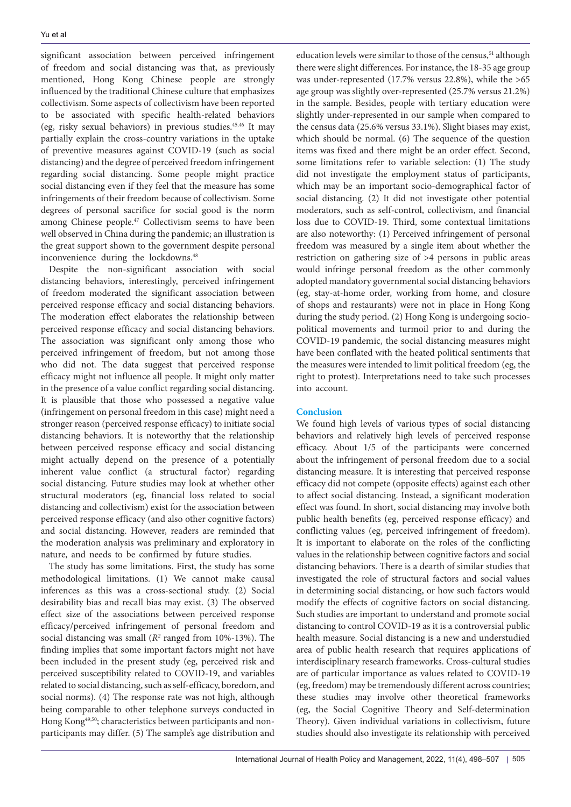significant association between perceived infringement of freedom and social distancing was that, as previously mentioned, Hong Kong Chinese people are strongly influenced by the traditional Chinese culture that emphasizes collectivism. Some aspects of collectivism have been reported to be associated with specific health-related behaviors (eg, risky sexual behaviors) in previous studies.45,46 It may partially explain the cross-country variations in the uptake of preventive measures against COVID-19 (such as social distancing) and the degree of perceived freedom infringement regarding social distancing. Some people might practice social distancing even if they feel that the measure has some infringements of their freedom because of collectivism. Some degrees of personal sacrifice for social good is the norm among Chinese people.<sup>47</sup> Collectivism seems to have been well observed in China during the pandemic; an illustration is the great support shown to the government despite personal inconvenience during the lockdowns.48

Despite the non-significant association with social distancing behaviors, interestingly, perceived infringement of freedom moderated the significant association between perceived response efficacy and social distancing behaviors. The moderation effect elaborates the relationship between perceived response efficacy and social distancing behaviors. The association was significant only among those who perceived infringement of freedom, but not among those who did not. The data suggest that perceived response efficacy might not influence all people. It might only matter in the presence of a value conflict regarding social distancing. It is plausible that those who possessed a negative value (infringement on personal freedom in this case) might need a stronger reason (perceived response efficacy) to initiate social distancing behaviors. It is noteworthy that the relationship between perceived response efficacy and social distancing might actually depend on the presence of a potentially inherent value conflict (a structural factor) regarding social distancing. Future studies may look at whether other structural moderators (eg, financial loss related to social distancing and collectivism) exist for the association between perceived response efficacy (and also other cognitive factors) and social distancing. However, readers are reminded that the moderation analysis was preliminary and exploratory in nature, and needs to be confirmed by future studies.

The study has some limitations. First, the study has some methodological limitations. (1) We cannot make causal inferences as this was a cross-sectional study. (2) Social desirability bias and recall bias may exist. (3) The observed effect size of the associations between perceived response efficacy/perceived infringement of personal freedom and social distancing was small ( $R<sup>2</sup>$  ranged from 10%-13%). The finding implies that some important factors might not have been included in the present study (eg, perceived risk and perceived susceptibility related to COVID-19, and variables related to social distancing, such as self-efficacy, boredom, and social norms). (4) The response rate was not high, although being comparable to other telephone surveys conducted in Hong Kong49,50; characteristics between participants and nonparticipants may differ. (5) The sample's age distribution and education levels were similar to those of the census,<sup>51</sup> although there were slight differences. For instance, the 18-35 age group was under-represented (17.7% versus 22.8%), while the >65 age group was slightly over-represented (25.7% versus 21.2%) in the sample. Besides, people with tertiary education were slightly under-represented in our sample when compared to the census data (25.6% versus 33.1%). Slight biases may exist, which should be normal. (6) The sequence of the question items was fixed and there might be an order effect. Second, some limitations refer to variable selection: (1) The study did not investigate the employment status of participants, which may be an important socio-demographical factor of social distancing. (2) It did not investigate other potential moderators, such as self-control, collectivism, and financial loss due to COVID-19. Third, some contextual limitations are also noteworthy: (1) Perceived infringement of personal freedom was measured by a single item about whether the restriction on gathering size of >4 persons in public areas would infringe personal freedom as the other commonly adopted mandatory governmental social distancing behaviors (eg, stay-at-home order, working from home, and closure of shops and restaurants) were not in place in Hong Kong during the study period. (2) Hong Kong is undergoing sociopolitical movements and turmoil prior to and during the COVID-19 pandemic, the social distancing measures might have been conflated with the heated political sentiments that the measures were intended to limit political freedom (eg, the right to protest). Interpretations need to take such processes into account.

# **Conclusion**

We found high levels of various types of social distancing behaviors and relatively high levels of perceived response efficacy. About 1/5 of the participants were concerned about the infringement of personal freedom due to a social distancing measure. It is interesting that perceived response efficacy did not compete (opposite effects) against each other to affect social distancing. Instead, a significant moderation effect was found. In short, social distancing may involve both public health benefits (eg, perceived response efficacy) and conflicting values (eg, perceived infringement of freedom). It is important to elaborate on the roles of the conflicting values in the relationship between cognitive factors and social distancing behaviors. There is a dearth of similar studies that investigated the role of structural factors and social values in determining social distancing, or how such factors would modify the effects of cognitive factors on social distancing. Such studies are important to understand and promote social distancing to control COVID-19 as it is a controversial public health measure. Social distancing is a new and understudied area of public health research that requires applications of interdisciplinary research frameworks. Cross-cultural studies are of particular importance as values related to COVID-19 (eg, freedom) may be tremendously different across countries; these studies may involve other theoretical frameworks (eg, the Social Cognitive Theory and Self-determination Theory). Given individual variations in collectivism, future studies should also investigate its relationship with perceived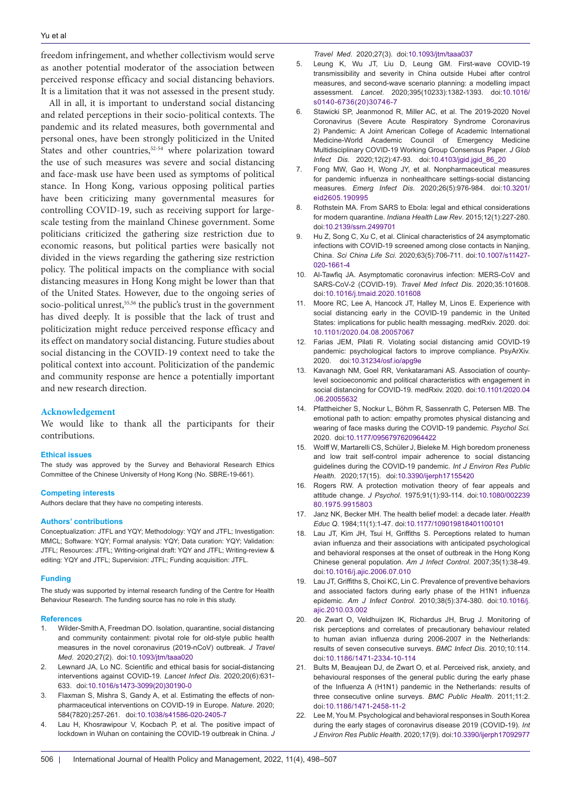freedom infringement, and whether collectivism would serve as another potential moderator of the association between perceived response efficacy and social distancing behaviors. It is a limitation that it was not assessed in the present study.

All in all, it is important to understand social distancing and related perceptions in their socio-political contexts. The pandemic and its related measures, both governmental and personal ones, have been strongly politicized in the United States and other countries,<sup>52-54</sup> where polarization toward the use of such measures was severe and social distancing and face-mask use have been used as symptoms of political stance. In Hong Kong, various opposing political parties have been criticizing many governmental measures for controlling COVID-19, such as receiving support for largescale testing from the mainland Chinese government. Some politicians criticized the gathering size restriction due to economic reasons, but political parties were basically not divided in the views regarding the gathering size restriction policy. The political impacts on the compliance with social distancing measures in Hong Kong might be lower than that of the United States. However, due to the ongoing series of socio-political unrest,<sup>55,56</sup> the public's trust in the government has dived deeply. It is possible that the lack of trust and politicization might reduce perceived response efficacy and its effect on mandatory social distancing. Future studies about social distancing in the COVID-19 context need to take the political context into account. Politicization of the pandemic and community response are hence a potentially important and new research direction.

#### **Acknowledgement**

We would like to thank all the participants for their contributions.

### **Ethical issues**

The study was approved by the Survey and Behavioral Research Ethics Committee of the Chinese University of Hong Kong (No. SBRE-19-661).

#### **Competing interests**

Authors declare that they have no competing interests.

#### **Authors' contributions**

Conceptualization: JTFL and YQY; Methodology: YQY and JTFL; Investigation: MMCL; Software: YQY; Formal analysis: YQY; Data curation: YQY; Validation: JTFL; Resources: JTFL; Writing-original draft: YQY and JTFL; Writing-review & editing: YQY and JTFL; Supervision: JTFL; Funding acquisition: JTFL.

#### **Funding**

The study was supported by internal research funding of the Centre for Health Behaviour Research. The funding source has no role in this study.

#### **References**

- 1. Wilder-Smith A, Freedman DO. Isolation, quarantine, social distancing and community containment: pivotal role for old-style public health measures in the novel coronavirus (2019-nCoV) outbreak. *J Travel Med*. 2020;27(2). doi:[10.1093/jtm/taaa020](https://doi.org/10.1093/jtm/taaa020)
- 2. Lewnard JA, Lo NC. Scientific and ethical basis for social-distancing interventions against COVID-19. *Lancet Infect Dis*. 2020;20(6):631- 633. doi:[10.1016/s1473-3099\(20\)30190-0](https://doi.org/10.1016/s1473-3099(20)30190-0)
- 3. Flaxman S, Mishra S, Gandy A, et al. Estimating the effects of nonpharmaceutical interventions on COVID-19 in Europe. *Nature*. 2020; 584(7820):257-261. doi[:10.1038/s41586-020-2405-7](https://doi.org/10.1038/s41586-020-2405-7)
- 4. Lau H, Khosrawipour V, Kocbach P, et al. The positive impact of lockdown in Wuhan on containing the COVID-19 outbreak in China*. J*

*Travel Med*. 2020;27(3). doi:[10.1093/jtm/taaa037](https://doi.org/10.1093/jtm/taaa037)

- 5. Leung K, Wu JT, Liu D, Leung GM. First-wave COVID-19 transmissibility and severity in China outside Hubei after control measures, and second-wave scenario planning: a modelling impact assessment. *Lancet*. 2020;395(10233):1382-1393. doi:[10.1016/](https://doi.org/10.1016/s0140-6736(20)30746-7) [s0140-6736\(20\)30746-7](https://doi.org/10.1016/s0140-6736(20)30746-7)
- 6. Stawicki SP, Jeanmonod R, Miller AC, et al. The 2019-2020 Novel Coronavirus (Severe Acute Respiratory Syndrome Coronavirus 2) Pandemic: A Joint American College of Academic International Medicine-World Academic Council of Emergency Medicine Multidisciplinary COVID-19 Working Group Consensus Paper. *J Glob Infect Dis.* 2020;12(2):47-93. doi[:10.4103/jgid.jgid\\_86\\_20](https://doi.org/10.4103/jgid.jgid_86_20)
- Fong MW, Gao H, Wong JY, et al. Nonpharmaceutical measures for pandemic influenza in nonhealthcare settings-social distancing measures. *Emerg Infect Dis*. 2020;26(5):976-984. doi:[10.3201/](https://doi.org/10.3201/eid2605.190995) [eid2605.190995](https://doi.org/10.3201/eid2605.190995)
- 8. Rothstein MA. From SARS to Ebola: legal and ethical considerations for modern quarantine. *Indiana Health Law Rev*. 2015;12(1):227-280. doi:[10.2139/ssrn.2499701](https://doi.org/10.2139/ssrn.2499701)
- 9. Hu Z, Song C, Xu C, et al. Clinical characteristics of 24 asymptomatic infections with COVID-19 screened among close contacts in Nanjing, China. *Sci China Life Sci.* 2020;63(5):706-711. doi:[10.1007/s11427-](https://doi.org/10.1007/s11427-020-1661-4) [020-1661-4](https://doi.org/10.1007/s11427-020-1661-4)
- 10. Al-Tawfiq JA. Asymptomatic coronavirus infection: MERS-CoV and SARS-CoV-2 (COVID-19). *Travel Med Infect Dis*. 2020;35:101608. doi[:10.1016/j.tmaid.2020.101608](https://doi.org/10.1016/j.tmaid.2020.101608)
- 11. Moore RC, Lee A, Hancock JT, Halley M, Linos E. Experience with social distancing early in the COVID-19 pandemic in the United States: implications for public health messaging. medRxiv. 2020. doi: [10.1101/2020.04.08.20057067](https://doi.org/10.1101/2020.04.08.20057067)
- 12. Farias JEM, Pilati R. Violating social distancing amid COVID-19 pandemic: psychological factors to improve compliance. PsyArXiv. 2020. doi[:10.31234/osf.io/apg9e](https://doi.org/10.31234/osf.io/apg9e)
- 13. Kavanagh NM, Goel RR, Venkataramani AS. Association of countylevel socioeconomic and political characteristics with engagement in social distancing for COVID-19. medRxiv. 2020. doi:[10.1101/2020.04](https://doi.org/10.1101/2020.04.06.20055632) [.06.20055632](https://doi.org/10.1101/2020.04.06.20055632)
- 14. Pfattheicher S, Nockur L, Böhm R, Sassenrath C, Petersen MB. The emotional path to action: empathy promotes physical distancing and wearing of face masks during the COVID-19 pandemic. *Psychol Sci.* 2020. doi:[10.1177/0956797620964422](https://doi.org/10.1177/0956797620964422)
- 15. Wolff W, Martarelli CS, Schüler J, Bieleke M. High boredom proneness and low trait self-control impair adherence to social distancing guidelines during the COVID-19 pandemic. *Int J Environ Res Public Health*. 2020;17(15). doi:[10.3390/ijerph17155420](https://doi.org/10.3390/ijerph17155420)
- 16. Rogers RW. A protection motivation theory of fear appeals and attitude change. *J Psychol*. 1975;91(1):93-114. doi[:10.1080/002239](https://doi.org/10.1080/00223980.1975.9915803) [80.1975.9915803](https://doi.org/10.1080/00223980.1975.9915803)
- 17. Janz NK, Becker MH. The health belief model: a decade later. *Health Educ Q*. 1984;11(1):1-47. doi[:10.1177/109019818401100101](https://doi.org/10.1177/109019818401100101)
- 18. Lau JT, Kim JH, Tsui H, Griffiths S. Perceptions related to human avian influenza and their associations with anticipated psychological and behavioral responses at the onset of outbreak in the Hong Kong Chinese general population. *Am J Infect Control*. 2007;35(1):38-49. doi[:10.1016/j.ajic.2006.07.010](https://doi.org/10.1016/j.ajic.2006.07.010)
- 19. Lau JT, Griffiths S, Choi KC, Lin C. Prevalence of preventive behaviors and associated factors during early phase of the H1N1 influenza epidemic. *Am J Infect Control*. 2010;38(5):374-380. doi[:10.1016/j.](https://doi.org/10.1016/j.ajic.2010.03.002) [ajic.2010.03.002](https://doi.org/10.1016/j.ajic.2010.03.002)
- 20. de Zwart O, Veldhuijzen IK, Richardus JH, Brug J. Monitoring of risk perceptions and correlates of precautionary behaviour related to human avian influenza during 2006-2007 in the Netherlands: results of seven consecutive surveys. *BMC Infect Dis*. 2010;10:114. doi:[10.1186/1471-2334-10-114](https://doi.org/10.1186/1471-2334-10-114)
- 21. Bults M, Beaujean DJ, de Zwart O, et al. Perceived risk, anxiety, and behavioural responses of the general public during the early phase of the Influenza A (H1N1) pandemic in the Netherlands: results of three consecutive online surveys. *BMC Public Health*. 2011;11:2. doi:[10.1186/1471-2458-11-2](https://doi.org/10.1186/1471-2458-11-2)
- 22. Lee M, You M. Psychological and behavioral responses in South Korea during the early stages of coronavirus disease 2019 (COVID-19). *Int J Environ Res Public Health*. 2020;17(9). doi:[10.3390/ijerph17092977](https://doi.org/10.3390/ijerph17092977)